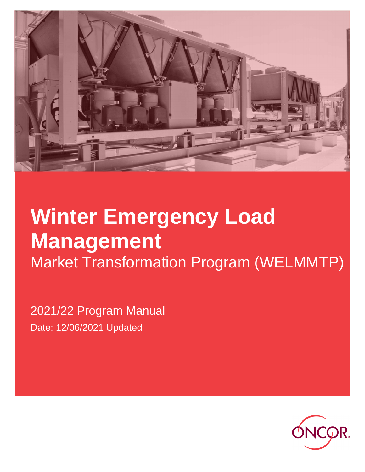

# **Winter Emergency Load Management**  Market Transformation Program (WELMMTP)

2021/22 Program Manual Date: 12/06/2021 Updated

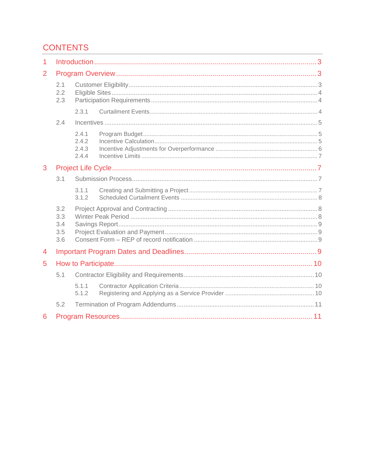# **CONTENTS**

| 1 |                                 |                                  |  |  |  |
|---|---------------------------------|----------------------------------|--|--|--|
| 2 |                                 |                                  |  |  |  |
|   | 2.1<br>2.2<br>2.3               |                                  |  |  |  |
|   |                                 | 2.3.1                            |  |  |  |
|   | 2.4                             |                                  |  |  |  |
|   |                                 | 2.4.1<br>2.4.2<br>2.4.3<br>2.4.4 |  |  |  |
| 3 |                                 |                                  |  |  |  |
|   | 3.1                             |                                  |  |  |  |
|   |                                 | 3.1.1<br>3.1.2                   |  |  |  |
|   | 3.2<br>3.3<br>3.4<br>3.5<br>3.6 |                                  |  |  |  |
| 4 |                                 |                                  |  |  |  |
| 5 |                                 |                                  |  |  |  |
|   | 5.1                             |                                  |  |  |  |
|   |                                 | 5.1.1<br>5.1.2                   |  |  |  |
|   | 5.2                             |                                  |  |  |  |
| 6 |                                 |                                  |  |  |  |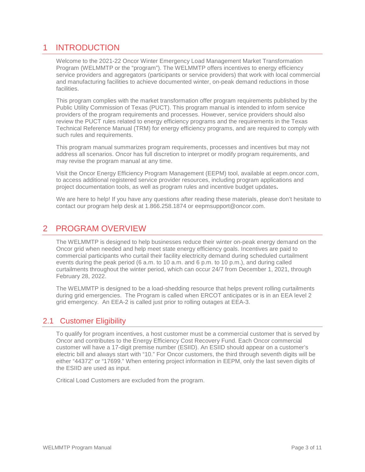# 1 INTRODUCTION

Welcome to the 2021-22 Oncor Winter Emergency Load Management Market Transformation Program (WELMMTP or the "program"). The WELMMTP offers incentives to energy efficiency service providers and aggregators (participants or service providers) that work with local commercial and manufacturing facilities to achieve documented winter, on-peak demand reductions in those facilities.

This program complies with the market transformation offer program requirements published by the Public Utility Commission of Texas (PUCT). This program manual is intended to inform service providers of the program requirements and processes. However, service providers should also review the PUCT rules related to energy efficiency programs and the requirements in the Texas Technical Reference Manual (TRM) for energy efficiency programs, and are required to comply with such rules and requirements.

This program manual summarizes program requirements, processes and incentives but may not address all scenarios. Oncor has full discretion to interpret or modify program requirements, and may revise the program manual at any time.

Visit the Oncor Energy Efficiency Program Management (EEPM) tool, available at eepm.oncor.com, to access additional registered service provider resources, including program applications and project documentation tools, as well as program rules and incentive budget updates**.** 

We are here to help! If you have any questions after reading these materials, please don't hesitate to contact our program help desk at 1.866.258.1874 or eepmsupport@oncor.com.

# 2 PROGRAM OVERVIEW

The WELMMTP is designed to help businesses reduce their winter on-peak energy demand on the Oncor grid when needed and help meet state energy efficiency goals. Incentives are paid to commercial participants who curtail their facility electricity demand during scheduled curtailment events during the peak period (6 a.m. to 10 a.m. and 6 p.m. to 10 p.m.), and during called curtailments throughout the winter period, which can occur 24/7 from December 1, 2021, through February 28, 2022.

The WELMMTP is designed to be a load-shedding resource that helps prevent rolling curtailments during grid emergencies. The Program is called when ERCOT anticipates or is in an EEA level 2 grid emergency. An EEA-2 is called just prior to rolling outages at EEA-3.

## 2.1 Customer Eligibility

To qualify for program incentives, a host customer must be a commercial customer that is served by Oncor and contributes to the Energy Efficiency Cost Recovery Fund. Each Oncor commercial customer will have a 17-digit premise number (ESIID). An ESIID should appear on a customer's electric bill and always start with "10." For Oncor customers, the third through seventh digits will be either "44372" or "17699." When entering project information in EEPM, only the last seven digits of the ESIID are used as input.

Critical Load Customers are excluded from the program.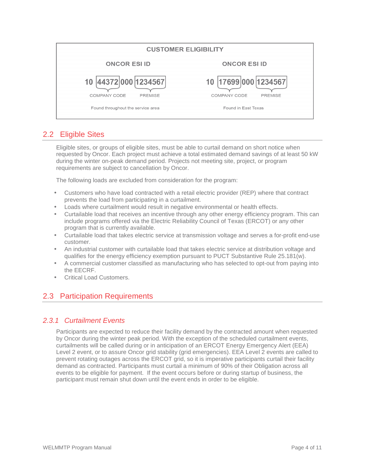| <b>CUSTOMER ELIGIBILITY</b>           |                                |  |  |  |
|---------------------------------------|--------------------------------|--|--|--|
| <b>ONCOR ESI ID</b>                   | <b>ONCOR ESI ID</b>            |  |  |  |
| 10 44372 000 1234567                  | 10   17699 000   1234567       |  |  |  |
| <b>COMPANY CODE</b><br><b>PREMISE</b> | COMPANY CODE<br><b>PREMISE</b> |  |  |  |
| Found throughout the service area     | Found in East Texas            |  |  |  |

## 2.2 Eligible Sites

Eligible sites, or groups of eligible sites, must be able to curtail demand on short notice when requested by Oncor. Each project must achieve a total estimated demand savings of at least 50 kW during the winter on-peak demand period. Projects not meeting site, project, or program requirements are subject to cancellation by Oncor.

The following loads are excluded from consideration for the program:

- Customers who have load contracted with a retail electric provider (REP) where that contract prevents the load from participating in a curtailment.
- Loads where curtailment would result in negative environmental or health effects.
- Curtailable load that receives an incentive through any other energy efficiency program. This can include programs offered via the Electric Reliability Council of Texas (ERCOT) or any other program that is currently available.
- Curtailable load that takes electric service at transmission voltage and serves a for-profit end-use customer.
- An industrial customer with curtailable load that takes electric service at distribution voltage and qualifies for the energy efficiency exemption pursuant to PUCT Substantive Rule 25.181(w).
- A commercial customer classified as manufacturing who has selected to opt-out from paying into the EECRF.
- Critical Load Customers.

## 2.3 Participation Requirements

## 2.3.1 Curtailment Events

Participants are expected to reduce their facility demand by the contracted amount when requested by Oncor during the winter peak period. With the exception of the scheduled curtailment events, curtailments will be called during or in anticipation of an ERCOT Energy Emergency Alert (EEA) Level 2 event, or to assure Oncor grid stability (grid emergencies). EEA Level 2 events are called to prevent rotating outages across the ERCOT grid, so it is imperative participants curtail their facility demand as contracted. Participants must curtail a minimum of 90% of their Obligation across all events to be eligible for payment. If the event occurs before or during startup of business, the participant must remain shut down until the event ends in order to be eligible.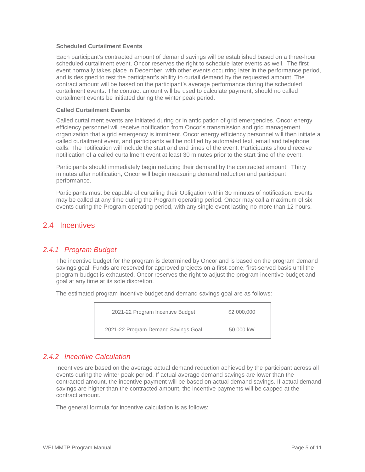#### **Scheduled Curtailment Events**

Each participant's contracted amount of demand savings will be established based on a three-hour scheduled curtailment event. Oncor reserves the right to schedule later events as well. The first event normally takes place in December, with other events occurring later in the performance period, and is designed to test the participant's ability to curtail demand by the requested amount. The contract amount will be based on the participant's average performance during the scheduled curtailment events. The contract amount will be used to calculate payment, should no called curtailment events be initiated during the winter peak period.

#### **Called Curtailment Events**

Called curtailment events are initiated during or in anticipation of grid emergencies. Oncor energy efficiency personnel will receive notification from Oncor's transmission and grid management organization that a grid emergency is imminent. Oncor energy efficiency personnel will then initiate a called curtailment event, and participants will be notified by automated text, email and telephone calls. The notification will include the start and end times of the event. Participants should receive notification of a called curtailment event at least 30 minutes prior to the start time of the event.

Participants should immediately begin reducing their demand by the contracted amount. Thirty minutes after notification, Oncor will begin measuring demand reduction and participant performance.

Participants must be capable of curtailing their Obligation within 30 minutes of notification. Events may be called at any time during the Program operating period. Oncor may call a maximum of six events during the Program operating period, with any single event lasting no more than 12 hours.

## 2.4 Incentives

## 2.4.1 Program Budget

The incentive budget for the program is determined by Oncor and is based on the program demand savings goal. Funds are reserved for approved projects on a first-come, first-served basis until the program budget is exhausted. Oncor reserves the right to adjust the program incentive budget and goal at any time at its sole discretion.

The estimated program incentive budget and demand savings goal are as follows:

| 2021-22 Program Incentive Budget    | \$2,000,000 |
|-------------------------------------|-------------|
| 2021-22 Program Demand Savings Goal | 50,000 kW   |

## 2.4.2 Incentive Calculation

Incentives are based on the average actual demand reduction achieved by the participant across all events during the winter peak period. If actual average demand savings are lower than the contracted amount, the incentive payment will be based on actual demand savings. If actual demand savings are higher than the contracted amount, the incentive payments will be capped at the contract amount.

The general formula for incentive calculation is as follows: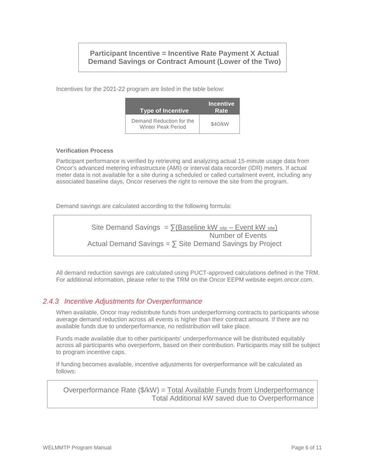## **Participant Incentive = Incentive Rate Payment X Actual Demand Savings or Contract Amount (Lower of the Two)**

Incentives for the 2021-22 program are listed in the table below:

| <b>Type of Incentive</b>                              | <b>Incentive</b><br>Rate |
|-------------------------------------------------------|--------------------------|
| Demand Reduction for the<br><b>Winter Peak Period</b> | \$40/kW                  |

#### **Verification Process**

Participant performance is verified by retrieving and analyzing actual 15-minute usage data from Oncor's advanced metering infrastructure (AMI) or interval data recorder (IDR) meters. If actual meter data is not available for a site during a scheduled or called curtailment event, including any associated baseline days, Oncor reserves the right to remove the site from the program.

Demand savings are calculated according to the following formula:

Site Demand Savings =  $\sum$ (Baseline kW site – Event kW site) Number of Events Actual Demand Savings =  $\sum$  Site Demand Savings by Project

All demand reduction savings are calculated using PUCT-approved calculations defined in the TRM. For additional information, please refer to the TRM on the Oncor EEPM website eepm.oncor.com.

## 2.4.3 Incentive Adjustments for Overperformance

When available, Oncor may redistribute funds from underperforming contracts to participants whose average demand reduction across all events is higher than their contract amount. If there are no available funds due to underperformance, no redistribution will take place.

Funds made available due to other participants' underperformance will be distributed equitably across all participants who overperform, based on their contribution. Participants may still be subject to program incentive caps.

If funding becomes available, incentive adjustments for overperformance will be calculated as follows:

Overperformance Rate (\$/kW) = Total Available Funds from Underperformance Total Additional kW saved due to Overperformance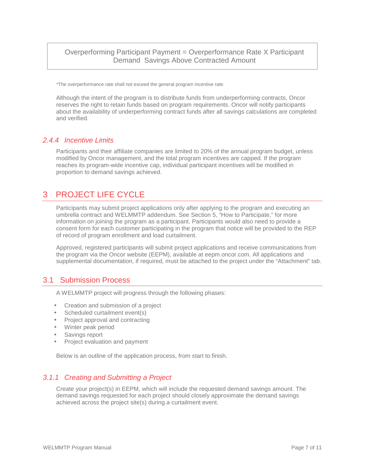## Overperforming Participant Payment = Overperformance Rate X Participant Demand Savings Above Contracted Amount

\*The overperformance rate shall not exceed the general program incentive rate.

Although the intent of the program is to distribute funds from underperforming contracts, Oncor reserves the right to retain funds based on program requirements. Oncor will notify participants about the availability of underperforming contract funds after all savings calculations are completed and verified.

## 2.4.4 Incentive Limits

Participants and their affiliate companies are limited to 20% of the annual program budget, unless modified by Oncor management, and the total program incentives are capped. If the program reaches its program-wide incentive cap, individual participant incentives will be modified in proportion to demand savings achieved.

# 3 PROJECT LIFE CYCLE

Participants may submit project applications only after applying to the program and executing an umbrella contract and WELMMTP addendum. See Section 5, "How to Participate," for more information on joining the program as a participant. Participants would also need to provide a consent form for each customer participating in the program that notice will be provided to the REP of record of program enrollment and load curtailment.

Approved, registered participants will submit project applications and receive communications from the program via the Oncor website (EEPM), available at eepm.oncor.com. All applications and supplemental documentation, if required, must be attached to the project under the "Attachment" tab.

## 3.1 Submission Process

A WELMMTP project will progress through the following phases:

- Creation and submission of a project
- Scheduled curtailment event(s)
- Project approval and contracting
- Winter peak period
- Savings report
- Project evaluation and payment

Below is an outline of the application process, from start to finish.

## 3.1.1 Creating and Submitting a Project

Create your project(s) in EEPM, which will include the requested demand savings amount. The demand savings requested for each project should closely approximate the demand savings achieved across the project site(s) during a curtailment event.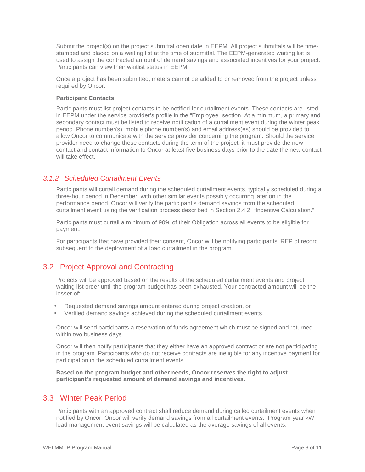Submit the project(s) on the project submittal open date in EEPM. All project submittals will be timestamped and placed on a waiting list at the time of submittal. The EEPM-generated waiting list is used to assign the contracted amount of demand savings and associated incentives for your project. Participants can view their waitlist status in EEPM.

Once a project has been submitted, meters cannot be added to or removed from the project unless required by Oncor.

#### **Participant Contacts**

Participants must list project contacts to be notified for curtailment events. These contacts are listed in EEPM under the service provider's profile in the "Employee" section. At a minimum, a primary and secondary contact must be listed to receive notification of a curtailment event during the winter peak period. Phone number(s), mobile phone number(s) and email address(es) should be provided to allow Oncor to communicate with the service provider concerning the program. Should the service provider need to change these contacts during the term of the project, it must provide the new contact and contact information to Oncor at least five business days prior to the date the new contact will take effect.

#### 3.1.2 Scheduled Curtailment Events

Participants will curtail demand during the scheduled curtailment events, typically scheduled during a three-hour period in December, with other similar events possibly occurring later on in the performance period. Oncor will verify the participant's demand savings from the scheduled curtailment event using the verification process described in Section 2.4.2, "Incentive Calculation."

Participants must curtail a minimum of 90% of their Obligation across all events to be eligible for payment.

For participants that have provided their consent, Oncor will be notifying participants' REP of record subsequent to the deployment of a load curtailment in the program.

## 3.2 Project Approval and Contracting

Projects will be approved based on the results of the scheduled curtailment events and project waiting list order until the program budget has been exhausted. Your contracted amount will be the lesser of:

- Requested demand savings amount entered during project creation, or
- Verified demand savings achieved during the scheduled curtailment events.

Oncor will send participants a reservation of funds agreement which must be signed and returned within two business days.

Oncor will then notify participants that they either have an approved contract or are not participating in the program. Participants who do not receive contracts are ineligible for any incentive payment for participation in the scheduled curtailment events.

**Based on the program budget and other needs, Oncor reserves the right to adjust participant's requested amount of demand savings and incentives.** 

## 3.3 Winter Peak Period

Participants with an approved contract shall reduce demand during called curtailment events when notified by Oncor. Oncor will verify demand savings from all curtailment events. Program year kW load management event savings will be calculated as the average savings of all events.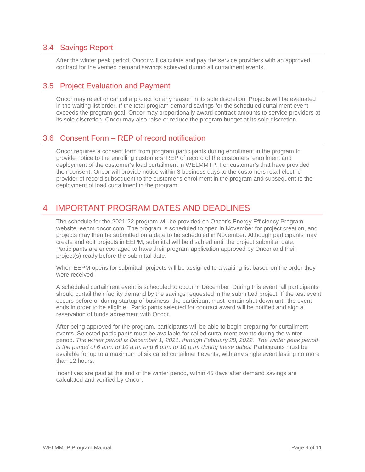## 3.4 Savings Report

After the winter peak period, Oncor will calculate and pay the service providers with an approved contract for the verified demand savings achieved during all curtailment events.

## 3.5 Project Evaluation and Payment

Oncor may reject or cancel a project for any reason in its sole discretion. Projects will be evaluated in the waiting list order. If the total program demand savings for the scheduled curtailment event exceeds the program goal, Oncor may proportionally award contract amounts to service providers at its sole discretion. Oncor may also raise or reduce the program budget at its sole discretion.

## 3.6 Consent Form – REP of record notification

Oncor requires a consent form from program participants during enrollment in the program to provide notice to the enrolling customers' REP of record of the customers' enrollment and deployment of the customer's load curtailment in WELMMTP. For customer's that have provided their consent, Oncor will provide notice within 3 business days to the customers retail electric provider of record subsequent to the customer's enrollment in the program and subsequent to the deployment of load curtailment in the program.

# 4 IMPORTANT PROGRAM DATES AND DEADLINES

The schedule for the 2021-22 program will be provided on Oncor's Energy Efficiency Program website, eepm.oncor.com. The program is scheduled to open in November for project creation, and projects may then be submitted on a date to be scheduled in November. Although participants may create and edit projects in EEPM, submittal will be disabled until the project submittal date. Participants are encouraged to have their program application approved by Oncor and their project(s) ready before the submittal date.

When EEPM opens for submittal, projects will be assigned to a waiting list based on the order they were received.

A scheduled curtailment event is scheduled to occur in December. During this event, all participants should curtail their facility demand by the savings requested in the submitted project. If the test event occurs before or during startup of business, the participant must remain shut down until the event ends in order to be eligible. Participants selected for contract award will be notified and sign a reservation of funds agreement with Oncor.

After being approved for the program, participants will be able to begin preparing for curtailment events. Selected participants must be available for called curtailment events during the winter period. The winter period is December 1, 2021, through February 28, 2022. The winter peak period is the period of 6 a.m. to 10 a.m. and 6 p.m. to 10 p.m. during these dates. Participants must be available for up to a maximum of six called curtailment events, with any single event lasting no more than 12 hours.

Incentives are paid at the end of the winter period, within 45 days after demand savings are calculated and verified by Oncor.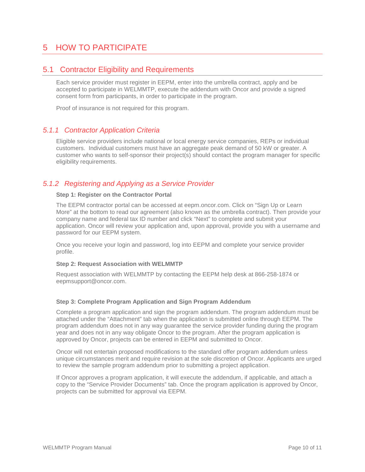# 5 HOW TO PARTICIPATE

## 5.1 Contractor Eligibility and Requirements

Each service provider must register in EEPM, enter into the umbrella contract, apply and be accepted to participate in WELMMTP, execute the addendum with Oncor and provide a signed consent form from participants, in order to participate in the program.

Proof of insurance is not required for this program.

## 5.1.1 Contractor Application Criteria

Eligible service providers include national or local energy service companies, REPs or individual customers. Individual customers must have an aggregate peak demand of 50 kW or greater. A customer who wants to self-sponsor their project(s) should contact the program manager for specific eligibility requirements.

## 5.1.2 Registering and Applying as a Service Provider

#### **Step 1: Register on the Contractor Portal**

The EEPM contractor portal can be accessed at eepm.oncor.com. Click on "Sign Up or Learn More" at the bottom to read our agreement (also known as the umbrella contract). Then provide your company name and federal tax ID number and click "Next" to complete and submit your application. Oncor will review your application and, upon approval, provide you with a username and password for our EEPM system.

Once you receive your login and password, log into EEPM and complete your service provider profile.

#### **Step 2: Request Association with WELMMTP**

Request association with WELMMTP by contacting the EEPM help desk at 866-258-1874 or eepmsupport@oncor.com.

#### **Step 3: Complete Program Application and Sign Program Addendum**

Complete a program application and sign the program addendum. The program addendum must be attached under the "Attachment" tab when the application is submitted online through EEPM. The program addendum does not in any way guarantee the service provider funding during the program year and does not in any way obligate Oncor to the program. After the program application is approved by Oncor, projects can be entered in EEPM and submitted to Oncor.

Oncor will not entertain proposed modifications to the standard offer program addendum unless unique circumstances merit and require revision at the sole discretion of Oncor. Applicants are urged to review the sample program addendum prior to submitting a project application.

If Oncor approves a program application, it will execute the addendum, if applicable, and attach a copy to the "Service Provider Documents" tab. Once the program application is approved by Oncor, projects can be submitted for approval via EEPM.